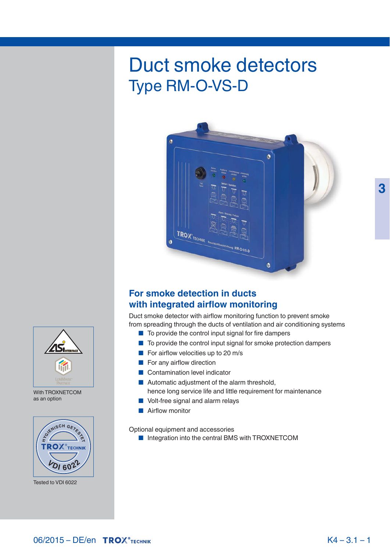# Duct smoke detectors Type RM-O-VS-D



## **For smoke detection in ducts with integrated airflow monitoring**

Duct smoke detector with airflow monitoring function to prevent smoke from spreading through the ducts of ventilation and air conditioning systems

- To provide the control input signal for fire dampers
- To provide the control input signal for smoke protection dampers
- For airflow velocities up to 20 m/s
- For any airflow direction
- Contamination level indicator
- Automatic adjustment of the alarm threshold, hence long service life and little requirement for maintenance
- Volt-free signal and alarm relays
- Airflow monitor

Optional equipment and accessories

■ Integration into the central BMS with TROXNETCOM



 With TROXNETCOM as an option



Tested to VDI 6022

 **3**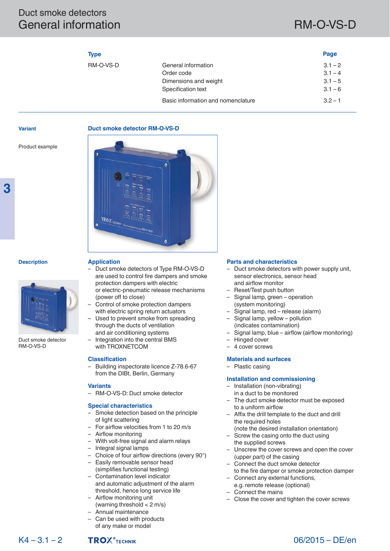## Duct smoke detectors General information and the contract of the RM-O-VS-D

 **Page** 

|    | . . |  |
|----|-----|--|
| ۰. |     |  |

| RM-O-VS-D | General information                | $3.1 - 2$ |
|-----------|------------------------------------|-----------|
|           | Order code                         | $3.1 - 4$ |
|           | Dimensions and weight              | $3.1 - 5$ |
|           | Specification text                 | $3.1 - 6$ |
|           | Basic information and nomenclature | $3.2 - 1$ |
|           |                                    |           |

### **Variant**

 **3** 

### **Duct smoke detector RM-O-VS-D**

Product example



### **Description**

### **Application**

 Duct smoke detector RM-O-VS-D

- Duct smoke detectors of Type RM-O-VS-D are used to control fire dampers and smoke protection dampers with electric or electric- pneumatic release mechanisms
- (power off to close) – Control of smoke protection dampers with electric spring return actuators
- Used to prevent smoke from spreading through the ducts of ventilation and air conditioning systems
- Integration into the central BMS with TROXNETCOM

### **Classification**

– Building inspectorate licence Z-78.6-67 from the DIBt, Berlin, Germany

### **Variants**

– RM-O-VS-D: Duct smoke detector

### **Special characteristics**

- Smoke detection based on the principle of light scattering
- For airflow velocities from 1 to 20 m/s
- Airflow monitoring
- With volt-free signal and alarm relays
- Integral signal lamps
- Choice of four airflow directions (every 90°)
- Easily removable sensor head (simplifies functional testing)
- Contamination level indicator and automatic adjustment of the alarm threshold, hence long service life
- Airflow monitoring unit (warning threshold < 2 m/s)
- Annual maintenance
- Can be used with products of any make or model

### **Parts and characteristics**

- Duct smoke detectors with power supply unit, sensor electronics, sensor head and airflow monitor
- Reset/Test push button
- Signal lamp, green operation (system monitoring)
- Signal lamp, red release (alarm)
- Signal lamp, yellow pollution (indicates contamination)
- Signal lamp, blue airflow (airflow monitoring)
- Hinged cover
- 4 cover screws

### **Materials and surfaces**

– Plastic casing

### **Installation and commissioning**

- Installation (non-vibrating)
- in a duct to be monitored
- The duct smoke detector must be exposed to a uniform airflow
- Affix the drill template to the duct and drill the required holes
- (note the desired installation orientation) Screw the casing onto the duct using
- the supplied screws
- Unscrew the cover screws and open the cover (upper part) of the casing
- Connect the duct smoke detector
- to the fire damper or smoke protection damper
- Connect any external functions, e.g. remote release (optional)
- Connect the mains
- 
- Close the cover and tighten the cover screws



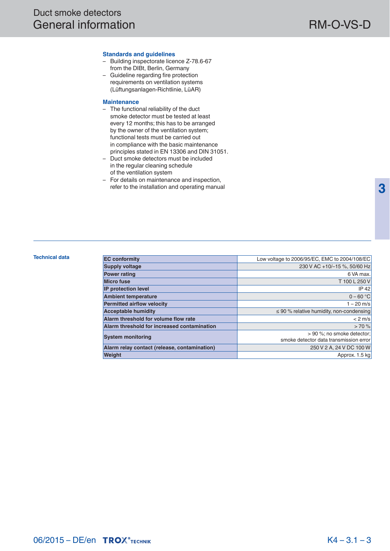### **Standards and guidelines**

- Building inspectorate licence Z-78.6-67 from the DIBt, Berlin, Germany
- Guideline regarding fire protection requirements on ventilation systems (Lüftungsanlagen-Richtlinie, LüAR)

### **Maintenance**

- The functional reliability of the duct smoke detector must be tested at least every 12 months; this has to be arranged by the owner of the ventilation system; functional tests must be carried out in compliance with the basic maintenance principles stated in EN 13306 and DIN 31051.
- Duct smoke detectors must be included in the regular cleaning schedule of the ventilation system
- For details on maintenance and inspection, refer to the installation and operating manual

| <b>Technical data</b> | <b>EC conformity</b>                         | Low voltage to 2006/95/EC, EMC to 2004/108/EC |
|-----------------------|----------------------------------------------|-----------------------------------------------|
|                       |                                              |                                               |
|                       | <b>Supply voltage</b>                        | 230 V AC +10/-15 %, 50/60 Hz                  |
|                       | <b>Power rating</b>                          | 6 VA max.                                     |
|                       | <b>Micro fuse</b>                            | T 100 L 250 V                                 |
|                       | <b>IP</b> protection level                   | IP 42                                         |
|                       | <b>Ambient temperature</b>                   | $0 - 60 °C$                                   |
|                       | <b>Permitted airflow velocity</b>            | 1 – 20 m/s                                    |
|                       | <b>Acceptable humidity</b>                   | $\leq$ 90 % relative humidity, non-condensing |
|                       | Alarm threshold for volume flow rate         | $< 2$ m/s                                     |
|                       | Alarm threshold for increased contamination  | >70%                                          |
|                       | <b>System monitoring</b>                     | $> 90$ %; no smoke detector;                  |
|                       |                                              | smoke detector data transmission error        |
|                       | Alarm relay contact (release, contamination) | 250 V 2 A, 24 V DC 100 W                      |
|                       | <b>Weight</b>                                | Approx. 1.5 kg                                |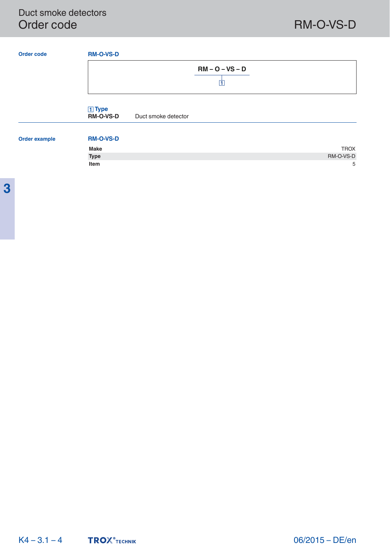## Duct smoke detectors Order code RM-O-VS-D

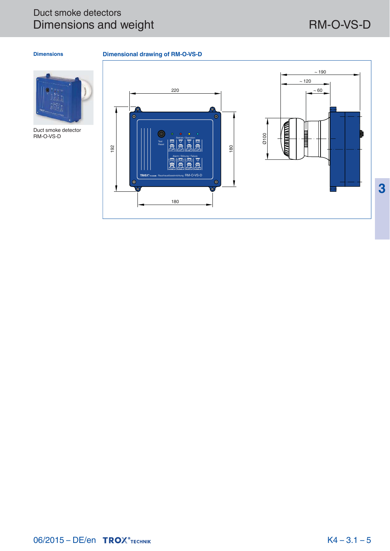## Duct smoke detectors Dimensions and weight RM-O-VS-D

 **3** 

### **Dimensions**

 **Dimensional drawing of RM-O-VS-D** 

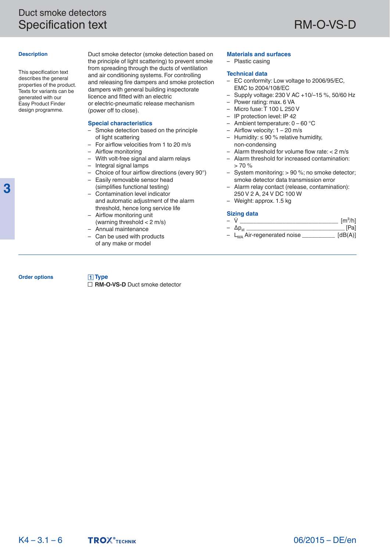### **Description**

 This specification text describes the general properties of the product. Texts for variants can be generated with our Easy Product Finder design programme.

 Duct smoke detector (smoke detection based on the principle of light scattering) to prevent smoke from spreading through the ducts of ventilation and air conditioning systems. For controlling and releasing fire dampers and smoke protection dampers with general building inspectorate licence and fitted with an electric or electric-pneumatic release mechanism (power off to close).

### **Special characteristics**

- Smoke detection based on the principle of light scattering
- For airflow velocities from 1 to 20 m/s
- Airflow monitoring
- With volt-free signal and alarm relays
- Integral signal lamps
- Choice of four airflow directions (every 90°)
- Easily removable sensor head
- (simplifies functional testing) – Contamination level indicator
- and automatic adjustment of the alarm threshold, hence long service life
- Airflow monitoring unit (warning threshold < 2 m/s) – Annual maintenance
- 

 **Type**

– Can be used with products of any make or model

### **Materials and surfaces**

– Plastic casing

### **Technical data**

- EC conformity: Low voltage to 2006/95/EC, EMC to 2004/108/EC
- Supply voltage: 230 V AC +10/–15 %, 50/60 Hz
- Power rating: max. 6 VA
- Micro fuse: T 100 L 250 V
- IP protection level: IP 42
- Ambient temperature: 0 60 °C
- Airflow velocity: 1 20 m/s
- Humidity: ≤ 90 % relative humidity, non- condensing
- Alarm threshold for volume flow rate: < 2 m/s
- Alarm threshold for increased contamination:  $> 70%$
- System monitoring: > 90 %; no smoke detector; smoke detector data transmission error
- Alarm relay contact (release, contamination): 250 V 2 A, 24 V DC 100 W
- Weight: approx. 1.5 kg

### **Sizing data**

- $\dot{V}$   $\qquad \qquad$   $\qquad \qquad$   $\qquad$   $\qquad$   $\qquad$   $\qquad$   $\qquad$   $\qquad$   $\qquad$   $\qquad$   $\qquad$   $\qquad$   $\qquad$   $\qquad$   $\qquad$   $\qquad$   $\qquad$   $\qquad$   $\qquad$   $\qquad$   $\qquad$   $\qquad$   $\qquad$   $\qquad$   $\qquad$   $\qquad$   $\qquad$   $\qquad$   $\qquad$   $\qquad$   $\qquad$   $\qquad$   $\qquad$   $\qquad$
- $\Delta p_{st}$   $\overline{\phantom{a}}$   $\Delta p_{st}$   $\overline{\phantom{a}}$   $\overline{\phantom{a}}$   $\Delta p_{st}$   $\overline{\phantom{a}}$   $\overline{\phantom{a}}$   $\overline{\phantom{a}}$   $\overline{\phantom{a}}$   $\overline{\phantom{a}}$   $\overline{\phantom{a}}$   $\overline{\phantom{a}}$   $\overline{\phantom{a}}$   $\overline{\phantom{a}}$   $\overline{\phantom{a}}$   $\overline{\phantom{a}}$   $\overline{\phantom{a}}$   $\overline{\phantom{a}}$ -  $L_{WA}$  Air-regenerated noise

### **Order options**

 **3** 

**RM-O-VS-D** Duct smoke detector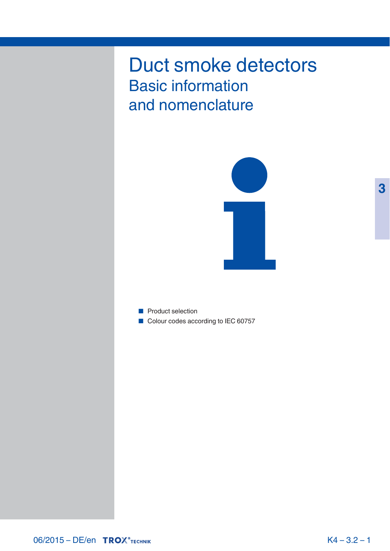# Duct smoke detectors Basic information and nomenclature



■ Product selection ■ Colour codes according to IEC 60757